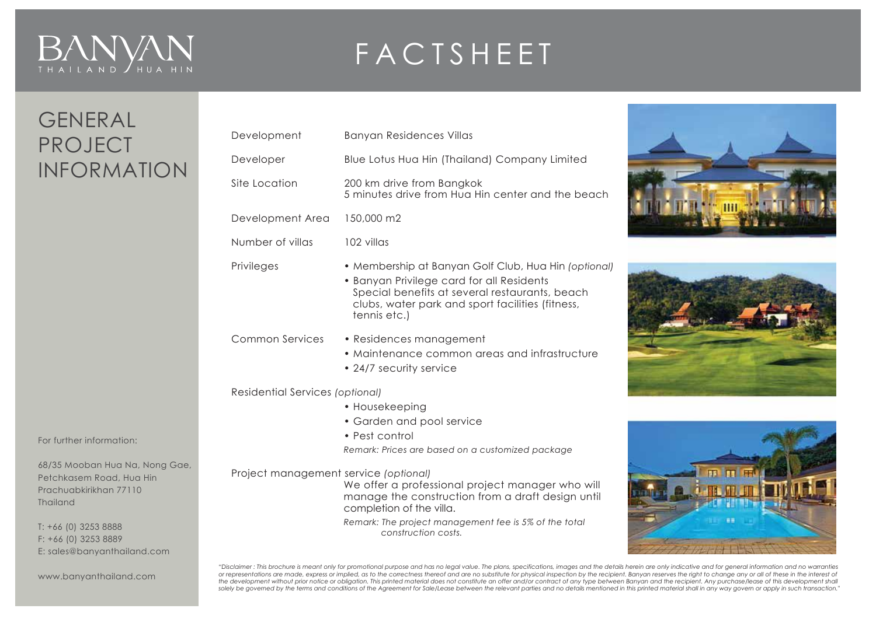# $B/N$  $\sum_{\theta}$

## FACTSHEET

### GENERAL PROJECT INFORMATION

| Development                           | <b>Banyan Residences Villas</b>                                                                                                                                                                                         |  |
|---------------------------------------|-------------------------------------------------------------------------------------------------------------------------------------------------------------------------------------------------------------------------|--|
| Developer                             | Blue Lotus Hua Hin (Thailand) Company Limited                                                                                                                                                                           |  |
| Site Location                         | 200 km drive from Bangkok<br>5 minutes drive from Hua Hin center and the beach                                                                                                                                          |  |
| Development Area                      | 150,000 m2                                                                                                                                                                                                              |  |
| Number of villas                      | 102 villas                                                                                                                                                                                                              |  |
| Privileges                            | • Membership at Banyan Golf Club, Hua Hin (optional)<br>• Banyan Privilege card for all Residents<br>Special benefits at several restaurants, beach<br>clubs, water park and sport facilities (fitness,<br>tennis etc.) |  |
| <b>Common Services</b>                | • Residences management<br>• Maintenance common areas and infrastructure<br>• 24/7 security service                                                                                                                     |  |
| Residential Services (optional)       |                                                                                                                                                                                                                         |  |
|                                       | • Housekeeping                                                                                                                                                                                                          |  |
|                                       | • Garden and pool service                                                                                                                                                                                               |  |
|                                       | • Pest control<br>Remark: Prices are based on a customized package                                                                                                                                                      |  |
| Project management service (optional) | We offer a professional project manager who will<br>manage the construction from a draft design until<br>completion of the villa.<br>Remark: The project management fee is 5% of the total<br>construction costs.       |  |
|                                       |                                                                                                                                                                                                                         |  |





www.banyanthailand.com

E: sales@banyanthailand.com

For further information:

T: +66 (0) 3253 8888 F: +66 (0) 3253 8889

Thailand

68/35 Mooban Hua Na, Nong Gae, Petchkasem Road, Hua Hin Prachuabkirikhan 77110

> "Disclaimer : This brochure is meant only for promotional purpose and has no legal value. The plans, specifications, images and the details herein are only indicative and for general information and no warranties<br>or repres *solely be governed by the terms and conditions of the Agreement for Sale/Lease between the relevant parties and no details mentioned in this printed material shall in any way govern or apply in such transaction."*